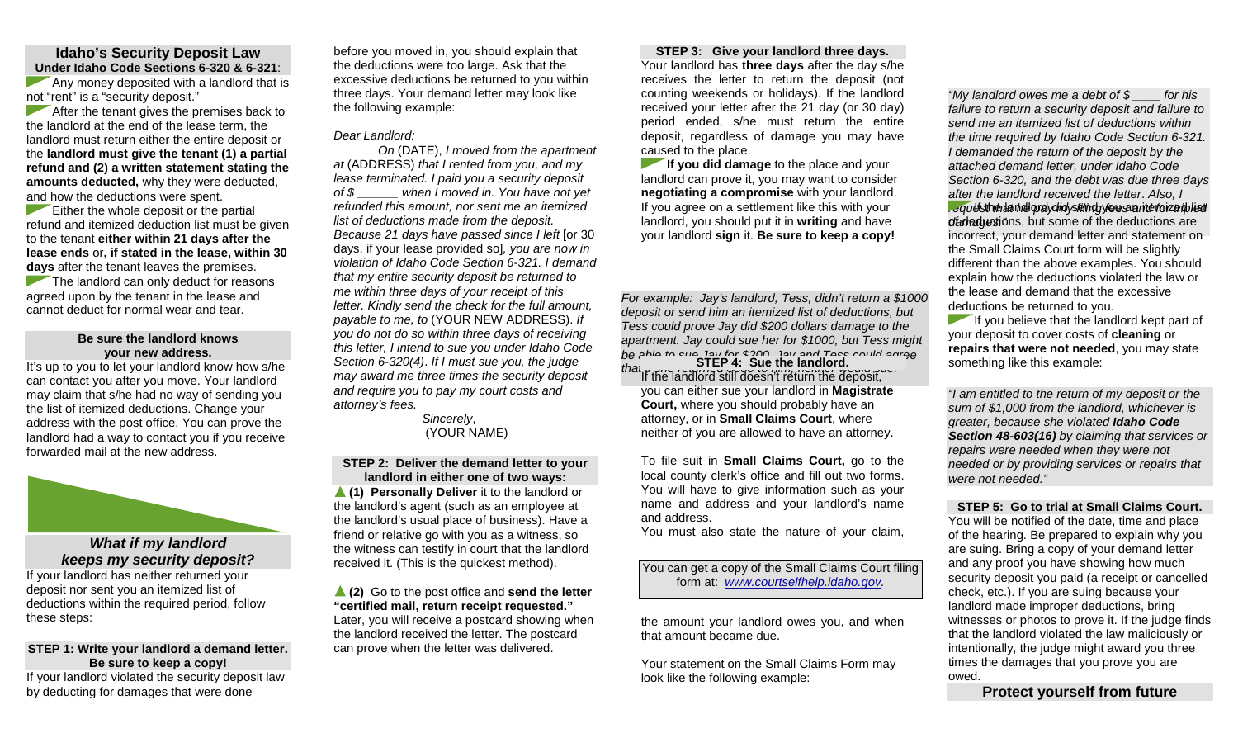## **Idaho's Security Deposit Law Under Idaho Code Sections 6-320 & 6-321**:

Any money deposited with a landlord that is not "rent" is a "security deposit."

After the tenant gives the premises back to the landlord at the end of the lease term, the landlord must return either the entire deposit or the **landlord must give the tenant (1) a partial refund and (2) a written statement stating the amounts deducted,** why they were deducted, and how the deductions were spent.

**Either the whole deposit or the partial** refund and itemized deduction list must be given to the tenant **either within 21 days after the lease ends** or**, if stated in the lease, within 30 days** after the tenant leaves the premises.

The landlord can only deduct for reasons agreed upon by the tenant in the lease and cannot deduct for normal wear and tear.

#### **Be sure the landlord knows your new address.**

It's up to you to let your landlord know how s/he can contact you after you move. Your landlord may claim that s/he had no way of sending you the list of itemized deductions. Change your address with the post office. You can prove the landlord had a way to contact you if you receive forwarded mail at the new address.



# *What if my landlord keeps my security deposit?*

If your landlord has neither returned your deposit nor sent you an itemized list of deductions within the required period, follow these steps:

## **STEP 1: Write your landlord a demand letter. Be sure to keep a copy!**

If your landlord violated the security deposit law by deducting for damages that were done

before you moved in, you should explain that the deductions were too large. Ask that the excessive deductions be returned to you within three days. Your demand letter may look like the following example:

## *Dear Landlord:*

*On* (DATE), *I moved from the apartment at* (ADDRESS) *that I rented from you, and my lease terminated. I paid you a security deposit of \$ \_\_\_\_\_\_ when I moved in. You have not yet refunded this amount, nor sent me an itemized list of deductions made from the deposit. Because 21 days have passed since I left* [or 30 days, if your lease provided so]*, you are now in violation of Idaho Code Section 6-321. I demand that my entire security deposit be returned to me within three days of your receipt of this letter. Kindly send the check for the full amount, payable to me, to* (YOUR NEW ADDRESS). *If you do not do so within three days of receiving this letter, I intend to sue you under Idaho Code Section 6-320(4)*. *If I must sue you, the judge may award me three times the security deposit and require you to pay my court costs and attorney's fees.* 

*Sincerely*, (YOUR NAME)

#### **STEP 2: Deliver the demand letter to your landlord in either one of two ways:**

**(1) Personally Deliver** it to the landlord or the landlord's agent (such as an employee at the landlord's usual place of business). Have a friend or relative go with you as a witness, so the witness can testify in court that the landlord received it. (This is the quickest method).

**(2)** Go to the post office and **send the letter "certified mail, return receipt requested."** Later, you will receive a postcard showing when the landlord received the letter. The postcard can prove when the letter was delivered.

## **STEP 3: Give your landlord three days.** Your landlord has **three days** after the day s/he receives the letter to return the deposit (not

counting weekends or holidays). If the landlord received your letter after the 21 day (or 30 day) period ended, s/he must return the entire deposit, regardless of damage you may have caused to the place.

**If you did damage** to the place and your landlord can prove it, you may want to consider **negotiating a compromise** with your landlord. If you agree on a settlement like this with your landlord, you should put it in **writing** and have your landlord **sign** it. **Be sure to keep a copy!**

*For example: Jay's landlord, Tess, didn't return a \$1000 deposit or send him an itemized list of deductions, but Tess could prove Jay did \$200 dollars damage to the apartment. Jay could sue her for \$1000, but Tess might be able to sue Jay for \$200. Jay and Tess could agree that if she returned \$800 to him, neither would sue.*  If the landlord still doesn't return the deposit, **STEP 4: Sue the landlord.**  you can either sue your landlord in **Magistrate** 

**Court,** where you should probably have an attorney, or in **Small Claims Court**, where neither of you are allowed to have an attorney.

To file suit in **Small Claims Court,** go to the local county clerk's office and fill out two forms. You will have to give information such as your name and address and your landlord's name and address.

You must also state the nature of your claim,

You can get a copy of the Small Claims Court filing form at: *[www.courtselfhelp.idaho.gov.](http://www.courtselfhelp.idaho.gov/)*

the amount your landlord owes you, and when that amount became due.

Your statement on the Small Claims Form may look like the following example:

*"My landlord owes me a debt of \$ \_\_\_\_ for his failure to return a security deposit and failure to send me an itemized list of deductions within the time required by Idaho Code Section 6-321. I demanded the return of the deposit by the attached demand letter, under Idaho Code Section 6-320, and the debt was due three days after the landlord received the letter*. *Also, I* 

*request that and prely did ys faling yiers and the foized plied* **obdedyes**ions, but some of the deductions are incorrect, your demand letter and statement on the Small Claims Court form will be slightly different than the above examples. You should explain how the deductions violated the law or the lease and demand that the excessive deductions be returned to you.

If you believe that the landlord kept part of your deposit to cover costs of **cleaning** or **repairs that were not needed**, you may state something like this example:

*"I am entitled to the return of my deposit or the sum of \$1,000 from the landlord, whichever is greater, because she violated Idaho Code Section 48-603(16) by claiming that services or repairs were needed when they were not needed or by providing services or repairs that were not needed."* 

## **STEP 5: Go to trial at Small Claims Court.**

You will be notified of the date, time and place of the hearing. Be prepared to explain why you are suing. Bring a copy of your demand letter and any proof you have showing how much security deposit you paid (a receipt or cancelled check, etc.). If you are suing because your landlord made improper deductions, bring witnesses or photos to prove it. If the judge finds that the landlord violated the law maliciously or intentionally, the judge might award you three times the damages that you prove you are owed.

**Protect yourself from future**